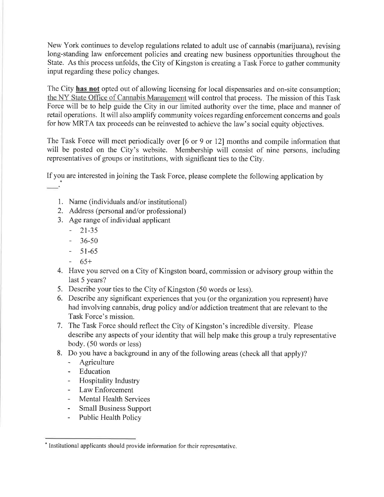New York continues to develop regulations related to adult use of cannabis (marijuana), revising long-standing law enforcement policies and creating new business opportunities throughout the State. As this process unfolds, the City of Kingston is creating a Task Force to gather community input regarding these policy changes.

The City has not opted out of allowing licensing for local dispensaries and on-site consumption; the NY State Office of Cannabis Management will control that process. The mission of this Task Force will be to help guide the City in our limited authority over the time, place and manner of retail operations. It will also amplify community voices regarding enforcement concerns and goals for how MRTA tax proceeds can be reinvested to achieve the law's social equity objectives.

The Task Force will meet periodically over [6 or 9 or 12] months and compile information that will be posted on the City's website. Membership will consist of nine persons, including representatives of groups or institutions, with significant ties to the City.

If you are interested in joining the Task Force, please complete the following application by

- 1. Name (individuals and/or institutional)
- 2. Address (personal and/or professional)
- 3. Age range of individual applicant
	- $-21-35$
	- $-36-50$
	- $51-65$
	- $65+$
- 4. Have you served on a City of Kingston board, commission or advisory group within the last 5 years?
- 5. Describe your ties to the City of Kingston (50 words or less).
- 6. Describe any significant experiences that you (or the organization you represent) have had involving cannabis, drug policy and/or addiction treatment that are relevant to the Task Force's mission.
- 7. The Task Force should reflect the City of Kingston's incredible diversity. Please describe any aspects of your identity that will help make this group a truly representative body. (50 words or less)
- 8. Do you have a background in any of the following areas (check all that apply)?
	- Agriculture
	- Education
	- Hospitality Industry
	- Law Enforcement
	- Mental Health Services
	- Small Business Support
	- Public Health Policy

<sup>\*</sup> Institutional applicants should provide information for their representative.